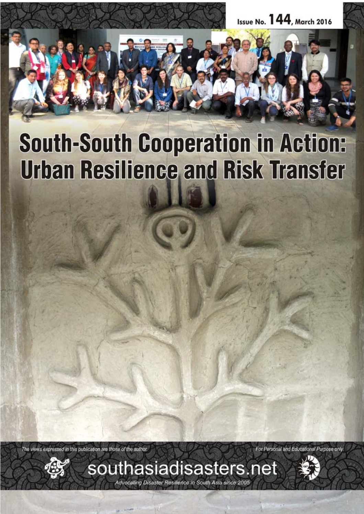

# **South-South Cooperation in Action: Urban Resilience and Risk Transfer**

The views expressed in this publication are those of the author.



For Personal and Educational Purpose only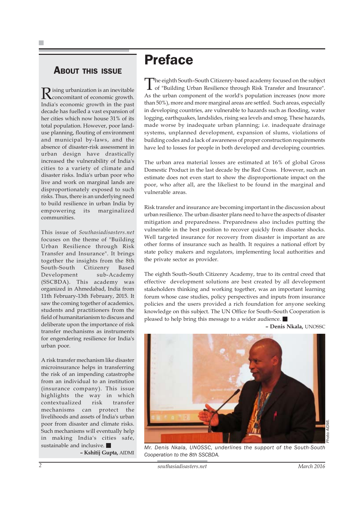### ABOUT THIS ISSUE

Rising urbanization is an inevitable<br>
concomitant of economic growth. India's economic growth in the past decade has fuelled a vast expansion of her cities which now house 31% of its total population. However, poor landuse planning, flouting of environment and municipal by-laws, and the absence of disaster-risk assessment in urban design have drastically increased the vulnerability of India's cities to a variety of climate and disaster risks. India's urban poor who live and work on marginal lands are disproportionately exposed to such risks. Thus, there is an underlying need to build resilience in urban India by empowering its marginalized communities.

This issue of *Southasiadisasters.net* focuses on the theme of "Building Urban Resilience through Risk Transfer and Insurance". It brings together the insights from the 8th South-South Citizenry Based Development sub-Academy (SSCBDA). This academy was organized in Ahmedabad, India from 11th February-13th February, 2015. It saw the coming together of academics, students and practitioners from the field of humanitarianism to discuss and deliberate upon the importance of risk transfer mechanisms as instruments for engendering resilience for India's urban poor.

A risk transfer mechanism like disaster microinsurance helps in transferring the risk of an impending catastrophe from an individual to an institution (insurance company). This issue highlights the way in which contextualized risk transfer mechanisms can protect the livelihoods and assets of India's urban poor from disaster and climate risks. Such mechanisms will eventually help in making India's cities safe, sustainable and inclusive.

**– Kshitij Gupta,** AIDMI

### Preface

The eighth South–South Citizenry-based academy focused on the subject of "Building Urban Resilience through Risk Transfer and Insurance". As the urban component of the world's population increases (now more than 50%), more and more marginal areas are settled. Such areas, especially in developing countries, are vulnerable to hazards such as flooding, water logging, earthquakes, landslides, rising sea levels and smog. These hazards, made worse by inadequate urban planning; i.e. inadequate drainage systems, unplanned development, expansion of slums, violations of building codes and a lack of awareness of proper construction requirements have led to losses for people in both developed and developing countries.

The urban area material losses are estimated at 16% of global Gross Domestic Product in the last decade by the Red Cross. However, such an estimate does not even start to show the disproportionate impact on the poor, who after all, are the likeliest to be found in the marginal and vulnerable areas.

Risk transfer and insurance are becoming important in the discussion about urban resilience. The urban disaster plans need to have the aspects of disaster mitigation and preparedness. Preparedness also includes putting the vulnerable in the best position to recover quickly from disaster shocks. Well targeted insurance for recovery from disaster is important as are other forms of insurance such as health. It requires a national effort by state policy makers and regulators, implementing local authorities and the private sector as provider.

The eighth South–South Citizenry Academy, true to its central creed that effective development solutions are best created by all development stakeholders thinking and working together, was an important learning forum whose case studies, policy perspectives and inputs from insurance policies and the users provided a rich foundation for anyone seeking knowledge on this subject. The UN Office for South–South Cooperation is pleased to help bring this message to a wider audience.

**– Denis Nkala,** UNOSSC



*Mr. Denis Nkala, UNOSSC, underlines the support of the South-South Cooperation to the 8th SSCBDA.*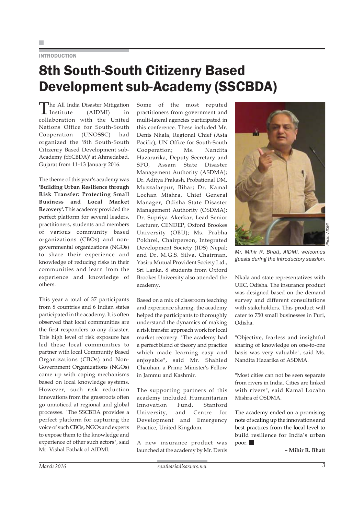#### **INTRODUCTION**

### 8th South-South Citizenry Based Development sub-Academy (SSCBDA)

The All India Disaster Mitigation Institute (AIDMI) in collaboration with the United Nations Office for South-South Cooperation (UNOSSC) had organized the '8th South-South Citizenry Based Development sub-Academy (SSCBDA)' at Ahmedabad, Gujarat from 11–13 January 2016.

The theme of this year's academy was **'Building Urban Resilience through Risk Transfer: Protecting Small Business and Local Market Recovery'.** This academy provided the perfect platform for several leaders, practitioners, students and members of various community based organizations (CBOs) and nongovernmental organizations (NGOs) to share their experience and knowledge of reducing risks in their communities and learn from the experience and knowledge of others.

This year a total of 37 participants from 8 countries and 6 Indian states participated in the academy. It is often observed that local communities are the first responders to any disaster. This high level of risk exposure has led these local communities to partner with local Community Based Organizations (CBOs) and Non-Government Organizations (NGOs) come up with coping mechanisms based on local knowledge systems. However, such risk reduction innovations from the grassroots often go unnoticed at regional and global processes. "The SSCBDA provides a perfect platform for capturing the voice of such CBOs, NGOs and experts to expose them to the knowledge and experience of other such actors", said Mr. Vishal Pathak of AIDMI.

Some of the most reputed practitioners from government and multi-lateral agencies participated in this conference. These included Mr. Denis Nkala, Regional Chief (Asia Pacific), UN Office for South-South Cooperation; Ms. Nandita Hazararika, Deputy Secretary and SPO, Assam State Disaster Management Authority (ASDMA); Dr. Aditya Prakash, Probational DM, Muzzafarpur, Bihar; Dr. Kamal Lochan Mishra, Chief General Manager, Odisha State Disaster Management Authority (OSDMA); Dr. Supriya Akerkar, Lead Senior Lecturer, CENDEP, Oxford Brookes University (OBU); Ms. Prabha Pokhrel, Chairperson, Integrated Development Society (IDS) Nepal; and Dr. M.G.S. Silva, Chairman, Yasiru Mutual Provident Society Ltd., Sri Lanka. 8 students from Oxford Brookes University also attended the academy.

Based on a mix of classroom teaching and experience sharing, the academy helped the participants to thoroughly understand the dynamics of making a risk transfer approach work for local market recovery. "The academy had a perfect blend of theory and practice which made learning easy and enjoyable", said Mr. Shahied Chauhan, a Prime Minister's Fellow in Jammu and Kashmir.

The supporting partners of this academy included Humanitarian Innovation Fund, Stanford University, and Centre for Development and Emergency Practice, United Kingdom.

A new insurance product was launched at the academy by Mr. Denis



*Mr. Mihir R. Bhatt, AIDMI, welcomes guests during the introductory session.*

Nkala and state representatives with UIIC, Odisha. The insurance product was designed based on the demand survey and different consultations with stakeholders. This product will cater to 750 small businesses in Puri, Odisha.

"Objective, fearless and insightful sharing of knowledge on one-to-one basis was very valuable", said Ms. Nandita Hazarika of ASDMA.

"Most cities can not be seen separate from rivers in India. Cities are linked with rivers", said Kamal Locahn Mishra of OSDMA.

The academy ended on a promising note of scaling up the innovations and best practices from the local level to build resilience for India's urban poor.

**– Mihir R. Bhatt**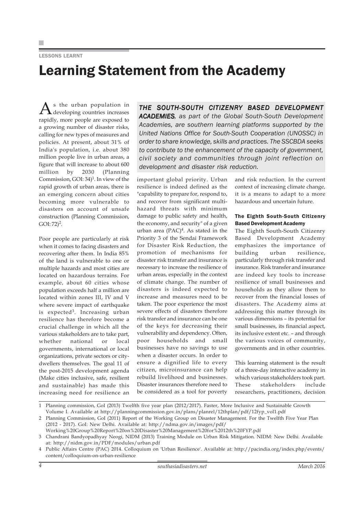#### LESSONS LEARNT

## Learning Statement from the Academy

 $A<sub>s</sub>$  the urban population in<br>developing countries increases rapidly, more people are exposed to a growing number of disaster risks, calling for new types of measures and policies. At present, about 31% of India's population, i.e. about 380 million people live in urban areas, a figure that will increase to about 600 million by 2030 (Planning Commission, GOI:  $34$ <sup>1</sup>. In view of the rapid growth of urban areas, there is an emerging concern about cities becoming more vulnerable to disasters on account of unsafe construction (Planning Commission, GOI:  $72)^2$ .

Poor people are particularly at risk when it comes to facing disasters and recovering after them. In India 85% of the land is vulnerable to one or multiple hazards and most cities are located on hazardous terrains. For example, about 60 cities whose population exceeds half a million are located within zones III, IV and V where severe impact of earthquake is expected<sup>3</sup>. Increasing urban resilience has therefore become a crucial challenge in which all the various stakeholders are to take part, whether national or local governments, international or local organizations, private sectors or citydwellers themselves. The goal 11 of the post-2015 development agenda (Make cities inclusive, safe, resilient and sustainable) has made this increasing need for resilience an

*THE SOUTH-SOUTH CITIZENRY BASED DEVELOPMENT* ACADEMIES, as part of the Global South-South Development *Academies, are southern learning platforms supported by the United Nations Office for South-South Cooperation (UNOSSC) in order to share knowledge, skills and practices. The SSCBDA seeks to contribute to the enhancement of the capacity of government, civil society and communities through joint reflection on development and disaster risk reduction.*

important global priority. Urban resilience is indeed defined as the "capability to prepare for, respond to, and recover from significant multihazard threats with minimum damage to public safety and health, the economy, and security" of a given urban area  $(PAC)^4$ . As stated in the Priority 3 of the Sendai Framework for Disaster Risk Reduction, the promotion of mechanisms for disaster risk transfer and insurance is necessary to increase the resilience of urban areas, especially in the context of climate change. The number of disasters is indeed expected to increase and measures need to be taken. The poor experience the most severe effects of disasters therefore risk transfer and insurance can be one of the keys for decreasing their vulnerability and dependency. Often, poor households and small businesses have no savings to use when a disaster occurs. In order to ensure a dignified life to every citizen, microinsurance can help rebuild livelihood and businesses. Disaster insurances therefore need to be considered as a tool for poverty and risk reduction. In the current context of increasing climate change, it is a means to adapt to a more hazardous and uncertain future.

#### The Eighth South-South Citizenry Based Development Academy

The Eighth South-South Citizenry Based Development Academy emphasizes the importance of building urban resilience, particularly through risk transfer and insurance. Risk transfer and insurance are indeed key tools to increase resilience of small businesses and households as they allow them to recover from the financial losses of disasters. The Academy aims at addressing this matter through its various dimensions – its potential for small businesses, its financial aspect, its inclusive extent etc. – and through the various voices of community, governments and in other countries.

This learning statement is the result of a three-day interactive academy in which various stakeholders took part. These stakeholders include researchers, practitioners, decision

<sup>1</sup> Planning commission, GoI (2013) Twelfth five year plan (2012/2017). Faster, More Inclusive and Sustainable Growth

Volume I. Available at http://planningcommission.gov.in/plans/planrel/12thplan/pdf/12fyp\_vol1.pdf

<sup>2</sup> Planning Commission, GoI (2011) Report of the Working Group on Disaster Management. For the Twelfth Five Year Plan (2012 - 2017). GoI: New Delhi. Available at: http://ndma.gov.in/images/pdf/

Working%20Group%20Report%20on%20Disaster%20Management%20for%2012th%20FYP.pdf

<sup>3</sup> Chandrani Bandyopadhyay Neogi, NIDM (2013) Training Module on Urban Risk Mitigation. NIDM: New Delhi. Available at: http://nidm.gov.in/PDF/modules/urban.pdf

<sup>4</sup> Public Affairs Centre (PAC) 2014. Colloquium on 'Urban Resilience'. Available at: http://pacindia.org/index.php/events/ content/colloquium-on-urban-resilience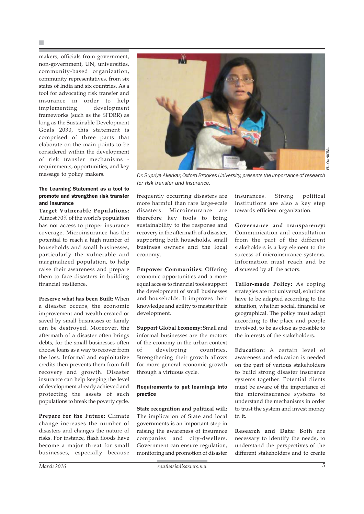makers, officials from government, non-government, UN, universities, community-based organization, community representatives, from six states of India and six countries. As a tool for advocating risk transfer and insurance in order to help implementing development frameworks (such as the SFDRR) as long as the Sustainable Development Goals 2030, this statement is comprised of three parts that elaborate on the main points to be considered within the development of risk transfer mechanisms requirements, opportunities, and key message to policy makers.

#### The Learning Statement as a tool to promote and strengthen risk transfer and insurance

**Target Vulnerable Populations:** Almost 70% of the world's population has not access to proper insurance coverage. Microinsurance has the potential to reach a high number of households and small businesses, particularly the vulnerable and marginalized population, to help raise their awareness and prepare them to face disasters in building financial resilience.

**Preserve what has been Built:** When

a disaster occurs, the economic improvement and wealth created or saved by small businesses or family can be destroyed. Moreover, the aftermath of a disaster often brings debts, for the small businesses often choose loans as a way to recover from the loss. Informal and exploitative credits then prevents them from full recovery and growth. Disaster insurance can help keeping the level of development already achieved and protecting the assets of such populations to break the poverty cycle.

**Prepare for the Future:** Climate change increases the number of disasters and changes the nature of risks. For instance, flash floods have become a major threat for small businesses, especially because



*Dr. Supriya Akerkar, Oxford Brookes University, presents the importance of research for risk transfer and insurance.*

frequently occurring disasters are more harmful than rare large-scale disasters. Microinsurance are therefore key tools to bring sustainability to the response and recovery in the aftermath of a disaster, supporting both households, small business owners and the local economy.

**Empower Communities:** Offering economic opportunities and a more equal access to financial tools support the development of small businesses and households. It improves their knowledge and ability to master their development.

**Support Global Economy:** Small and informal businesses are the motors of the economy in the urban context of developing countries. Strengthening their growth allows for more general economic growth through a virtuous cycle.

#### Requirements to put learnings into practice

**State recognition and political will:** The implication of State and local governments is an important step in raising the awareness of insurance companies and city-dwellers. Government can ensure regulation, monitoring and promotion of disaster

insurances. Strong political institutions are also a key step towards efficient organization.

**Governance and transparency:** Communication and consultation from the part of the different stakeholders is a key element to the success of microinsurance systems. Information must reach and be discussed by all the actors.

**Tailor-made Policy:** As coping strategies are not universal, solutions have to be adapted according to the situation, whether social, financial or geographical. The policy must adapt according to the place and people involved, to be as close as possible to the interests of the stakeholders.

**Education:** A certain level of awareness and education is needed on the part of various stakeholders to build strong disaster insurance systems together. Potential clients must be aware of the importance of the microinsurance systems to understand the mechanisms in order to trust the system and invest money in it.

**Research and Data:** Both are necessary to identify the needs, to understand the perspectives of the different stakeholders and to create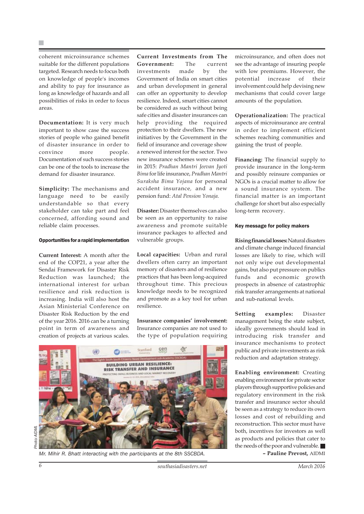coherent microinsurance schemes suitable for the different populations targeted. Research needs to focus both on knowledge of people's incomes and ability to pay for insurance as long as knowledge of hazards and all possibilities of risks in order to focus areas.

**Documentation:** It is very much important to show case the success stories of people who gained benefit of disaster insurance in order to convince more people. Documentation of such success stories can be one of the tools to increase the demand for disaster insurance.

**Simplicity:** The mechanisms and language need to be easily understandable so that every stakeholder can take part and feel concerned, affording sound and reliable claim processes.

#### Opportunities for a rapid implementation

**Current Interest:** A month after the end of the COP21, a year after the Sendai Framework for Disaster Risk Reduction was launched; the international interest for urban resilience and risk reduction is increasing. India will also host the Asian Ministerial Conference on Disaster Risk Reduction by the end of the year 2016. 2016 can be a turning point in term of awareness and creation of projects at various scales.

**Current Investments from The Government:** The current investments made by the Government of India on smart cities and urban development in general can offer an opportunity to develop resilience. Indeed, smart cities cannot be considered as such without being safe cities and disaster insurances can help providing the required protection to their dwellers. The new initiatives by the Government in the field of insurance and coverage show a renewed interest for the sector. Two new insurance schemes were created in 2015: *Pradhan Mantri Jeevan Jyoti Bima* for life insurance, *Pradhan Mantri Suraksha Bima Yojana* for personal accident insurance*,* and a new pension fund: *Atal Pension Yonaja.*

**Disaster:** Disaster themselves can also be seen as an opportunity to raise awareness and promote suitable insurance packages to affected and vulnerable groups.

**Local capacities:** Urban and rural dwellers often carry an important memory of disasters and of resilience practices that has been long-acquired throughout time. This precious knowledge needs to be recognized and promote as a key tool for urban resilience.

**Insurance companies' involvement:** Insurance companies are not used to the type of population requiring



*Mr. Mihir R. Bhatt interacting with the participants at the 8th SSCBDA.* **– Pauline Prevost,** AIDMI

microinsurance, and often does not see the advantage of insuring people with low premiums. However, the potential increase of their involvement could help devising new mechanisms that could cover large amounts of the population.

**Operationalization:** The practical aspects of microinsurance are central in order to implement efficient schemes reaching communities and gaining the trust of people.

**Financing:** The financial supply to provide insurance in the long-term and possibly reinsure companies or NGOs is a crucial matter to allow for a sound insurance system. The financial matter is an important challenge for short but also especially long-term recovery.

#### Key message for policy makers

**Rising financial losses:** Natural disasters and climate change induced financial losses are likely to rise, which will not only wipe out developmental gains, but also put pressure on publics funds and economic growth prospects in absence of catastrophic risk transfer arrangements at national and sub-national levels.

**Setting examples:** Disaster management being the state subject, ideally governments should lead in introducing risk transfer and insurance mechanisms to protect public and private investments as risk reduction and adaptation strategy.

**Enabling environment:** Creating enabling environment for private sector players through supportive policies and regulatory environment in the risk transfer and insurance sector should be seen as a strategy to reduce its own losses and cost of rebuilding and reconstruction. This sector must have both, incentives for investors as well as products and policies that cater to the needs of the poor and vulnerable.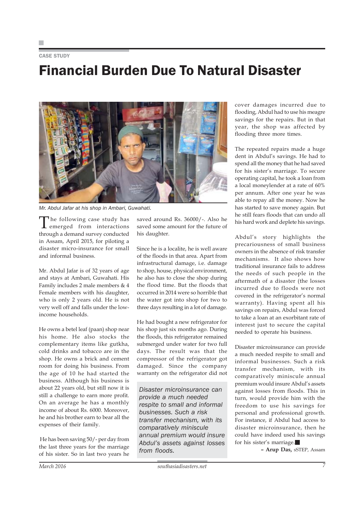#### CASE STUDY

### Financial Burden Due To Natural Disaster



*Mr. Abdul Jafar at his shop in Ambari, Guwahati.*

The following case study has emerged from interactions through a demand survey conducted in Assam, April 2015, for piloting a disaster micro-insurance for small and informal business.

Mr. Abdul Jafar is of 32 years of age and stays at Ambari, Guwahati. His Family includes 2 male members & 4 Female members with his daughter, who is only 2 years old. He is not very well off and falls under the lowincome households.

He owns a betel leaf (paan) shop near his home. He also stocks the complementary items like gutkha, cold drinks and tobacco are in the shop. He owns a brick and cement room for doing his business. From the age of 10 he had started the business. Although his business is about 22 years old, but still now it is still a challenge to earn more profit. On an average he has a monthly income of about Rs. 6000. Moreover, he and his brother earn to bear all the expenses of their family.

 He has been saving 50/- per day from the last three years for the marriage of his sister. So in last two years he

saved around Rs. 36000/-. Also he saved some amount for the future of his daughter.

Since he is a localite, he is well aware of the floods in that area. Apart from infrastructural damage, i.e. damage to shop, house, physical environment, he also has to close the shop during the flood time. But the floods that occurred in 2014 were so horrible that the water got into shop for two to three days resulting in a lot of damage.

He had bought a new refrigerator for his shop just six months ago. During the floods, this refrigerator remained submerged under water for two full days. The result was that the compressor of the refrigerator got damaged. Since the company warranty on the refrigerator did not

*Disaster microinsurance can provide a much needed respite to small and informal businesses. Such a risk transfer mechanism, with its comparatively miniscule annual premium would insure Abdul's assets against losses from floods.*

cover damages incurred due to flooding, Abdul had to use his meagre savings for the repairs. But in that year, the shop was affected by flooding three more times.

The repeated repairs made a huge dent in Abdul's savings. He had to spend all the money that he had saved for his sister's marriage. To secure operating capital, he took a loan from a local moneylender at a rate of 60% per annum. After one year he was able to repay all the money. Now he has started to save money again. But he still fears floods that can undo all his hard work and deplete his savings.

Abdul's story highlights the precariousness of small business owners in the absence of risk transfer mechanisms. It also shows how traditional insurance fails to address the needs of such people in the aftermath of a disaster (the losses incurred due to floods were not covered in the refrigerator's normal warranty). Having spent all his savings on repairs, Abdul was forced to take a loan at an exorbitant rate of interest just to secure the capital needed to operate his business.

Disaster microinsurance can provide a much needed respite to small and informal businesses. Such a risk transfer mechanism, with its comparatively miniscule annual premium would insure Abdul's assets against losses from floods. This in turn, would provide him with the freedom to use his savings for personal and professional growth. For instance, if Abdul had access to disaster microinsurance, then he could have indeed used his savings for his sister's marriage.

**– Arup Das,** sSTEP, Assam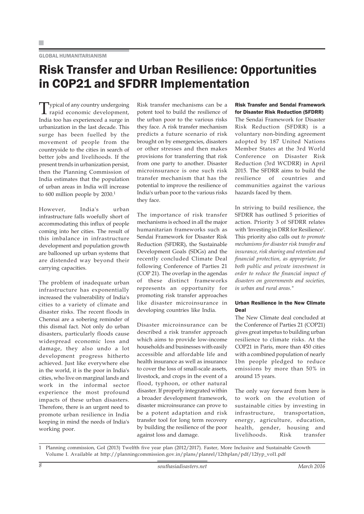#### GLOBAL HUMANITARIANISM

### Risk Transfer and Urban Resilience: Opportunities in COP21 and SFDRR Implementation

Typical of any country undergoing rapid economic development, India too has experienced a surge in urbanization in the last decade. This surge has been fuelled by the movement of people from the countryside to the cities in search of better jobs and livelihoods. If the present trends in urbanization persist, then the Planning Commission of India estimates that the population of urban areas in India will increase to 600 million people by 2030.<sup>1</sup>

However, India's urban infrastructure falls woefully short of accommodating this influx of people coming into her cities. The result of this imbalance in infrastructure development and population growth are ballooned up urban systems that are distended way beyond their carrying capacities.

The problem of inadequate urban infrastructure has exponentially increased the vulnerability of India's cities to a variety of climate and disaster risks. The recent floods in Chennai are a sobering reminder of this dismal fact. Not only do urban disasters, particularly floods cause widespread economic loss and damage, they also undo a lot development progress hitherto achieved. Just like everywhere else in the world, it is the poor in India's cities, who live on marginal lands and work in the informal sector experience the most profound impacts of these urban disasters. Therefore, there is an urgent need to promote urban resilience in India keeping in mind the needs of India's working poor.

Risk transfer mechanisms can be a potent tool to build the resilience of the urban poor to the various risks they face. A risk transfer mechanism predicts a future scenario of risk brought on by emergencies, disasters or other stresses and then makes provisions for transferring that risk from one party to another. Disaster microinsurance is one such risk transfer mechanism that has the potential to improve the resilience of India's urban poor to the various risks they face.

The importance of risk transfer mechanisms is echoed in all the major humanitarian frameworks such as Sendai Framework for Disaster Risk Reduction (SFDRR), the Sustainable Development Goals (SDGs) and the recently concluded Climate Deal following Conference of Parties 21 (COP 21). The overlap in the agendas of these distinct frameworks represents an opportunity for promoting risk transfer approaches like disaster microinsurance in developing countries like India.

Disaster microinsurance can be described a risk transfer approach which aims to provide low-income households and businesses with easily accessible and affordable life and health insurance as well as insurance to cover the loss of small-scale assets, livestock, and crops in the event of a flood, typhoon, or other natural disaster. If properly integrated within a broader development framework, disaster microinsurance can prove to be a potent adaptation and risk transfer tool for long term recovery by building the resilience of the poor against loss and damage.

Risk Transfer and Sendai Framework for Disaster Risk Reduction (SFDRR)

The Sendai Framework for Disaster Risk Reduction (SFDRR) is a voluntary non-binding agreement adopted by 187 United Nations Member States at the 3rd World Conference on Disaster Risk Reduction (3rd WCDRR) in April 2015. The SFDRR aims to build the resilience of countries and communities against the various hazards faced by them.

In striving to build resilience, the SFDRR has outlined 5 priorities of action. Priority 3 of SFDRR relates with 'Investing in DRR for Resilience'. This priority also calls out *to promote mechanisms for disaster risk transfer and insurance, risk sharing and retention and financial protection, as appropriate, for both public and private investment in order to reduce the financial impact of disasters on governments and societies, in urban and rural areas."*

#### Urban Resilience in the New Climate Deal

The New Climate deal concluded at the Conference of Parties 21 (COP21) gives great impetus to building urban resilience to climate risks. At the COP21 in Paris, more than 450 cities with a combined population of nearly 1bn people pledged to reduce emissions by more than 50% in around 15 years.

The only way forward from here is to work on the evolution of sustainable cities by investing in infrastructure, transportation, energy, agriculture, education, health, gender, housing and livelihoods. Risk transfer

1 Planning commission, GoI (2013) Twelfth five year plan (2012/2017). Faster, More Inclusive and Sustainable Growth Volume I. Available at http://planningcommission.gov.in/plans/planrel/12thplan/pdf/12fyp\_vol1.pdf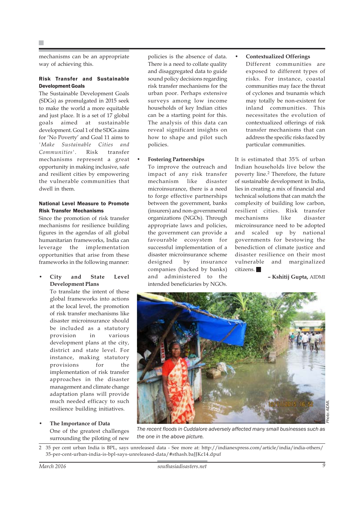mechanisms can be an appropriate way of achieving this.

#### Risk Transfer and Sustainable Development Goals

The Sustainable Development Goals (SDGs) as promulgated in 2015 seek to make the world a more equitable and just place. It is a set of 17 global goals aimed at sustainable development. Goal 1 of the SDGs aims for 'No Poverty' and Goal 11 aims to *'Make Sustainable Cities and Communities'*. Risk transfer mechanisms represent a great opportunity in making inclusive, safe and resilient cities by empowering the vulnerable communities that dwell in them.

#### National Level Measure to Promote Risk Transfer Mechanisms

Since the promotion of risk transfer mechanisms for resilience building figures in the agendas of all global humanitarian frameworks, India can leverage the implementation opportunities that arise from these frameworks in the following manner:

#### • **City and State Level Development Plans**

To translate the intent of these global frameworks into actions at the local level, the promotion of risk transfer mechanisms like disaster microinsurance should be included as a statutory provision in various development plans at the city, district and state level. For instance, making statutory provisions for the implementation of risk transfer approaches in the disaster management and climate change adaptation plans will provide much needed efficacy to such resilience building initiatives.

#### • **The Importance of Data** One of the greatest challenges surrounding the piloting of new

policies is the absence of data. There is a need to collate quality and disaggregated data to guide sound policy decisions regarding risk transfer mechanisms for the urban poor. Perhaps extensive surveys among low income households of key Indian cities can be a starting point for this. The analysis of this data can reveal significant insights on how to shape and pilot such policies.

#### • **Fostering Partnerships**

To improve the outreach and impact of any risk transfer mechanism like disaster microinsurance, there is a need to forge effective partnerships between the government, banks (insurers) and non-governmental organizations (NGOs). Through appropriate laws and policies, the government can provide a favourable ecosystem for successful implementation of a disaster microinsurance scheme designed by insurance companies (backed by banks) and administered to the intended beneficiaries by NGOs.

• **Contextualized Offerings** Different communities are exposed to different types of risks. For instance, coastal communities may face the threat of cyclones and tsunamis which may totally be non-existent for inland communities. This necessitates the evolution of contextualized offerings of risk transfer mechanisms that can address the specific risks faced by particular communities.

It is estimated that 35% of urban Indian households live below the poverty line.<sup>2</sup> Therefore, the future of sustainable development in India, lies in creating a mix of financial and technical solutions that can match the complexity of building low carbon, resilient cities. Risk transfer mechanisms like disaster microinsurance need to be adopted and scaled up by national governments for bestowing the benediction of climate justice and disaster resilience on their most vulnerable and marginalized citizens.

**– Kshitij Gupta,** AIDMI



2 35 per cent urban India is BPL, says unreleased data - See more at: http://indianexpress.com/article/india/india-others/ 35-per-cent-urban-india-is-bpl-says-unreleased-data/#sthash.baJJKc14.dpuf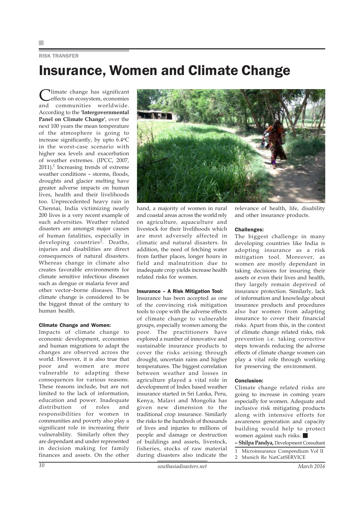#### RISK TRANSFER

### Insurance, Women and Climate Change

Climate change has significant effects on ecosystem, economies and communities worldwide. According to the **'Intergovernmental Panel on Climate Change'**, over the next 100 years the mean temperature of the atmosphere is going to increase significantly, by upto 6.4°C in the worst-case scenario with higher sea levels and exacerbation of weather extremes. (IPCC, 2007,  $2011$ ).<sup>1</sup> Increasing trends of extreme weather conditions – storms, floods, droughts and glacier melting have greater adverse impacts on human lives, health and their livelihoods too. Unprecedented heavy rain in Chennai, India victimizing nearly 200 lives is a very recent example of such adversities. Weather related disasters are amongst major causes of human fatalities, especially in developing countries<sup>2</sup>. Deaths, injuries and disabilities are direct consequences of natural disasters. Whereas change in climate also creates favorable environments for climate sensitive infectious diseases such as dengue or malaria fever and other vector–borne diseases. Thus climate change is considered to be the biggest threat of the century to human health.

#### Climate Change and Women:

Impacts of climate change to economic development, economies and human migrations to adapt the changes are observed across the world. However, it is also true that poor and women are more vulnerable to adapting these consequences for various reasons. These reasons include, but are not limited to the lack of information, education and power. Inadequate distribution of roles and responsibilities for women in communities and poverty also play a significant role in increasing their vulnerability. Similarly often they are dependant and under represented in decision making for family finances and assets. On the other



hand, a majority of women in rural and coastal areas across the world rely on agriculture, aquaculture and livestock for their livelihoods which are most adversely affected in climatic and natural disasters. In addition, the need of fetching water from farther places, longer hours in field and malnutrition due to inadequate crop yields increase health related risks for women.

#### Insurance – A Risk Mitigation Tool:

Insurance has been accepted as one of the convincing risk mitigation tools to cope with the adverse effects of climate change to vulnerable groups, especially women among the poor. The practitioners have explored a number of innovative and sustainable insurance products to cover the risks arising through drought, uncertain rains and higher temperatures. The biggest correlation between weather and losses in agriculture played a vital role in development of Index based weather insurance started in Sri Lanka, Peru, Kenya, Malavi and Mongolia has given new dimension to the traditional crop insurance. Similarly the risks to the hundreds of thousands of lives and injuries to millions of people and damage or destruction of buildings and assets, livestock, fisheries, stocks of raw material during disasters also indicate the

relevance of health, life, disability and other insurance products.

#### Challenges:

The biggest challenge in many developing countries like India is adopting insurance as a risk mitigation tool. Moreover, as women are mostly dependant in taking decisions for insuring their assets or even their lives and health, they largely remain deprived of insurance protection. Similarly, lack of information and knowledge about insurance products and procedures also bar women from adapting insurance to cover their financial risks. Apart from this, in the context of climate change related risks, risk prevention i.e. taking corrective steps towards reducing the adverse effects of climate change women can play a vital role through working for preserving the environment.

#### Conclusion:

Climate change related risks are going to increase in coming years especially for women. Adequate and inclusive risk mitigating products along with intensive efforts for awareness generation and capacity building would help to protect women against such risks.

**– Shilpa Pandya,** Development Consultant

- 1 Microinsurance Compendium Vol II
- 2 Munich Re NatCatSERVICE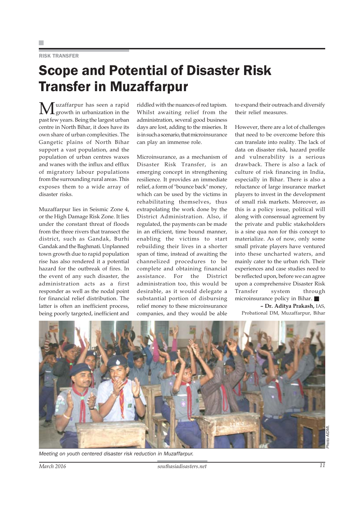#### RISK TRANSFER

### Scope and Potential of Disaster Risk Transfer in Muzaffarpur

Muzaffarpur has seen a rapid growth in urbanization in the past few years. Being the largest urban centre in North Bihar, it does have its own share of urban complexities. The Gangetic plains of North Bihar support a vast population, and the population of urban centres waxes and wanes with the influx and efflux of migratory labour populations from the surrounding rural areas. This exposes them to a wide array of disaster risks.

Muzaffarpur lies in Seismic Zone 4, or the High Damage Risk Zone. It lies under the constant threat of floods from the three rivers that transect the district, such as Gandak, Burhi Gandak and the Baghmati. Unplanned town growth due to rapid population rise has also rendered it a potential hazard for the outbreak of fires. In the event of any such disaster, the administration acts as a first responder as well as the nodal point for financial relief distribution. The latter is often an inefficient process, being poorly targeted, inefficient and riddled with the nuances of red tapism. Whilst awaiting relief from the administration, several good business days are lost, adding to the miseries. It is in such a scenario, that microinsurance can play an immense role.

Microinsurance, as a mechanism of Disaster Risk Transfer, is an emerging concept in strengthening resilience. It provides an immediate relief, a form of "bounce back" money, which can be used by the victims in rehabilitating themselves, thus extrapolating the work done by the District Administration. Also, if regulated, the payments can be made in an efficient, time bound manner, enabling the victims to start rebuilding their lives in a shorter span of time, instead of awaiting the channelized procedures to be complete and obtaining financial assistance. For the District administration too, this would be desirable, as it would delegate a substantial portion of disbursing relief money to these microinsurance companies, and they would be able

to expand their outreach and diversify their relief measures.

However, there are a lot of challenges that need to be overcome before this can translate into reality. The lack of data on disaster risk, hazard profile and vulnerability is a serious drawback. There is also a lack of culture of risk financing in India, especially in Bihar. There is also a reluctance of large insurance market players to invest in the development of small risk markets. Moreover, as this is a policy issue, political will along with consensual agreement by the private and public stakeholders is a sine qua non for this concept to materialize. As of now, only some small private players have ventured into these uncharted waters, and mainly cater to the urban rich. Their experiences and case studies need to be reflected upon, before we can agree upon a comprehensive Disaster Risk Transfer system through microinsurance policy in Bihar.

**– Dr. Aditya Prakash,** IAS, Probational DM, Muzaffarpur, Bihar



*Meeting on youth centered disaster risk reduction in Muzaffarpur.*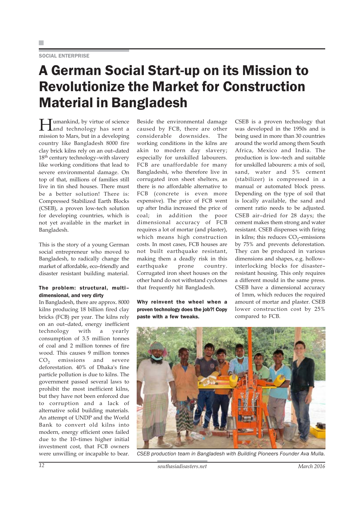#### SOCIAL ENTERPRISE

### A German Social Start-up on its Mission to Revolutionize the Market for Construction Material in Bangladesh

**Humankind, by virtue of science** Land technology has sent a mission to Mars, but in a developing country like Bangladesh 8000 fire clay brick kilns rely on an out–dated 18<sup>th</sup> century technology-with slavery like working conditions that lead to severe environmental damage. On top of that, millions of families still live in tin shed houses. There must be a better solution! There is: Compressed Stabilized Earth Blocks (CSEB), a proven low-tech solution for developing countries, which is not yet available in the market in Bangladesh.

This is the story of a young German social entrepreneur who moved to Bangladesh, to radically change the market of affordable, eco–friendly and disaster resistant building material.

#### The problem: structural, multi– dimensional, and very dirty

In Bangladesh, there are approx. 8000 kilns producing 18 billion fired clay bricks (FCB) per year. The kilns rely on an out–dated, energy inefficient technology with a yearly consumption of 3.5 million tonnes of coal and 2 million tonnes of fire wood. This causes 9 million tonnes CO<sub>2</sub> emissions and severe deforestation. 40% of Dhaka's fine particle pollution is due to kilns. The government passed several laws to prohibit the most inefficient kilns, but they have not been enforced due to corruption and a lack of alternative solid building materials. An attempt of UNDP and the World Bank to convert old kilns into modern, energy efficient ones failed due to the 10–times higher initial investment cost, that FCB owners were unwilling or incapable to bear.

Beside the environmental damage caused by FCB, there are other considerable downsides. The working conditions in the kilns are akin to modern day slavery; especially for unskilled labourers. FCB are unaffordable for many Bangladeshi, who therefore live in corrugated iron sheet shelters, as there is no affordable alternative to FCB (concrete is even more expensive). The price of FCB went up after India increased the price of coal; in addition the poor dimensional accuracy of FCB requires a lot of mortar (and plaster), which means high construction costs. In most cases, FCB houses are not built earthquake resistant, making them a deadly risk in this earthquake prone country. Corrugated iron sheet houses on the other hand do not withstand cyclones that frequently hit Bangladesh.

Why reinvent the wheel when a proven technology does the job?! Copy paste with a few tweaks.

CSEB is a proven technology that was developed in the 1950s and is being used in more than 30 countries around the world among them South Africa, Mexico and India. The production is low–tech and suitable for unskilled labourers: a mix of soil, sand, water and 5% cement (stabilizer) is compressed in a manual or automated block press. Depending on the type of soil that is locally available, the sand and cement ratio needs to be adjusted. CSEB air–dried for 28 days; the cement makes them strong and water resistant. CSEB dispenses with firing in kilns; this reduces  $CO<sub>2</sub>$ -emissions by 75% and prevents deforestation. They can be produced in various dimensions and shapes, e.g. hollow– interlocking blocks for disaster– resistant housing. This only requires a different mould in the same press. CSEB have a dimensional accuracy of 1mm, which reduces the required amount of mortar and plaster. CSEB lower construction cost by 25% compared to FCB.



*CSEB production team in Bangladesh with Building Pioneers Founder Ava Mulla.*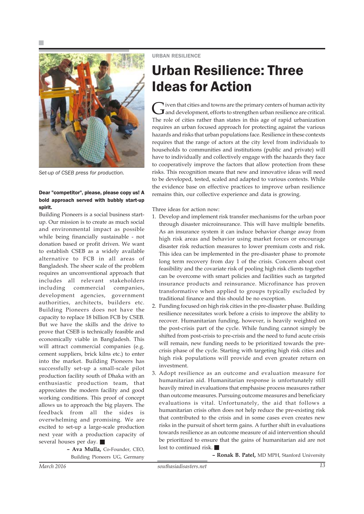

*Set-up of CSEB press for production.*

#### Dear "competitor", please, please copy us! A bold approach served with bubbly start-up spirit.

Building Pioneers is a social business startup. Our mission is to create as much social and environmental impact as possible while being financially sustainable - not donation based or profit driven. We want to establish CSEB as a widely available alternative to FCB in all areas of Bangladesh. The sheer scale of the problem requires an unconventional approach that includes all relevant stakeholders including commercial companies, development agencies, government authorities, architects, builders etc. Building Pioneers does not have the capacity to replace 18 billion FCB by CSEB. But we have the skills and the drive to prove that CSEB is technically feasible and economically viable in Bangladesh. This will attract commercial companies (e.g. cement suppliers, brick kilns etc.) to enter into the market. Building Pioneers has successfully set-up a small-scale pilot production facility south of Dhaka with an enthusiastic production team, that appreciates the modern facility and good working conditions. This proof of concept allows us to approach the big players. The feedback from all the sides is overwhelming and promising. We are excited to set-up a large-scale production next year with a production capacity of several houses per day.

> **– Ava Mulla,** Co-Founder, CEO, Building Pioneers UG, Germany

URBAN RESILIENCE

### Urban Resilience: Three Ideas for Action

Given that cities and towns are the primary centers of human activity<br>and development, efforts to strengthen urban resilience are critical. The role of cities rather than states in this age of rapid urbanization requires an urban focused approach for protecting against the various hazards and risks that urban populations face. Resilience in these contexts requires that the range of actors at the city level from individuals to households to communities and institutions (public and private) will have to individually and collectively engage with the hazards they face to cooperatively improve the factors that allow protection from these risks. This recognition means that new and innovative ideas will need to be developed, tested, scaled and adapted to various contexts. While the evidence base on effective practices to improve urban resilience remains thin, our collective experience and data is growing.

Three ideas for action now:

- 1. Develop and implement risk transfer mechanisms for the urban poor through disaster microinsurance. This will have multiple benefits. As an insurance system it can induce behavior change away from high risk areas and behavior using market forces or encourage disaster risk reduction measures to lower premium costs and risk. This idea can be implemented in the pre-disaster phase to promote long term recovery from day 1 of the crisis. Concern about cost feasibility and the covariate risk of pooling high risk clients together can be overcome with smart policies and facilities such as targeted insurance products and reinsurance. Microfinance has proven transformative when applied to groups typically excluded by traditional finance and this should be no exception.
- 2. Funding focused on high risk cities in the pre-disaster phase. Building resilience necessitates work before a crisis to improve the ability to recover. Humanitarian funding, however, is heavily weighted on the post-crisis part of the cycle. While funding cannot simply be shifted from post-crisis to pre-crisis and the need to fund acute crisis will remain, new funding needs to be prioritized towards the precrisis phase of the cycle. Starting with targeting high risk cities and high risk populations will provide and even greater return on investment.
- 3. Adopt resilience as an outcome and evaluation measure for humanitarian aid. Humanitarian response is unfortunately still heavily mired in evaluations that emphasise process measures rather than outcome measures. Pursuing outcome measures and beneficiary evaluations is vital. Unfortunately, the aid that follows a humanitarian crisis often does not help reduce the pre-existing risk that contributed to the crisis and in some cases even creates new risks in the pursuit of short term gains. A further shift in evaluations towards resilience as an outcome measure of aid intervention should be prioritized to ensure that the gains of humanitarian aid are not lost to continued risk.

**– Ronak B. Patel,** MD MPH, Stanford University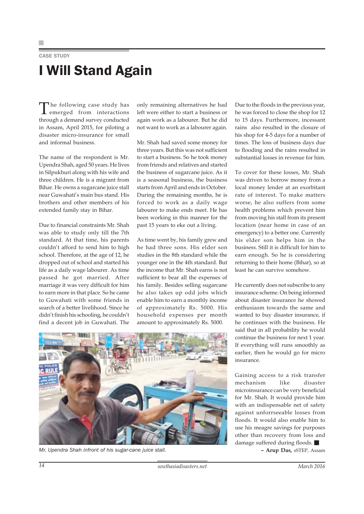### CASE STUDY I Will Stand Again

The following case study has emerged from interactions through a demand survey conducted in Assam, April 2015, for piloting a disaster micro-insurance for small and informal business.

The name of the respondent is Mr. Upendra Shah, aged 50 years. He lives in Silpukhuri along with his wife and three children. He is a migrant from Bihar. He owns a sugarcane juice stall near Guwahati's main bus stand. His brothers and other members of his extended family stay in Bihar.

Due to financial constraints Mr. Shah was able to study only till the 7th standard. At that time, his parents couldn't afford to send him to high school. Therefore, at the age of 12, he dropped out of school and started his life as a daily wage labourer. As time passed he got married. After marriage it was very difficult for him to earn more in that place. So he came to Guwahati with some friends in search of a better livelihood. Since he didn't finish his schooling, he couldn't find a decent job in Guwahati. The only remaining alternatives he had left were either to start a business or again work as a labourer. But he did not want to work as a labourer again.

Mr. Shah had saved some money for three years. But this was not sufficient to start a business. So he took money from friends and relatives and started the business of sugarcane juice. As it is a seasonal business, the business starts from April and ends in October. During the remaining months, he is forced to work as a daily wage labourer to make ends meet. He has been working in this manner for the past 15 years to eke out a living.

As time went by, his family grew and he had three sons. His elder son studies in the 8th standard while the younger one in the 4th standard. But the income that Mr. Shah earns is not sufficient to bear all the expenses of his family. Besides selling sugarcane he also takes up odd jobs which enable him to earn a monthly income of approximately Rs. 5000. His household expenses per month amount to approximately Rs. 5000.

Due to the floods in the previous year, he was forced to close the shop for 12 to 15 days. Furthermore, incessant rains also resulted in the closure of his shop for 4-5 days for a number of times. The loss of business days due to flooding and the rains resulted in substantial losses in revenue for him.

To cover for these losses, Mr. Shah was driven to borrow money from a local money lender at an exorbitant rate of interest. To make matters worse, he also suffers from some health problems which prevent him from moving his stall from its present location (near home in case of an emergency) to a better one. Currently his elder son helps him in the business. Still it is difficult for him to earn enough. So he is considering returning to their home (Bihar), so at least he can survive somehow.

He currently does not subscribe to any insurance scheme. On being informed about disaster insurance he showed enthusiasm towards the same and wanted to buy disaster insurance, if he continues with the business. He said that in all probability he would continue the business for next 1 year. If everything will runs smoothly as earlier, then he would go for micro insurance.

Gaining access to a risk transfer mechanism like disaster microinsurance can be very beneficial for Mr. Shah. It would provide him with an indispensable net of safety against unforrseeable losses from floods. It would also enable him to use his meagre savings for purposes other than recovery from loss and damage suffered during floods.



*Mr. Upendra Shah infront of his sugar-cane juice stall.* **– Arup Das,** sSTEP, Assam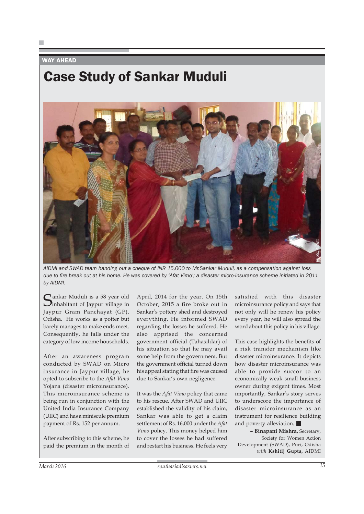#### WAY AHEAD

### Case Study of Sankar Muduli



*AIDMI and SWAD team handing out a cheque of INR 15,000 to Mr.Sankar Muduli, as a compensation against loss due to fire break out at his home. He was covered by 'Afat Vimo'; a disaster micro-insurance scheme initiated in 2011 by AIDMI.*

Sankar Muduli is a 58 year old<br>Sinhabitant of Jaypur village in Jaypur Gram Panchayat (GP), Odisha. He works as a potter but barely manages to make ends meet. Consequently, he falls under the category of low income households.

After an awareness program conducted by SWAD on Micro insurance in Jaypur village, he opted to subscribe to the *Afat Vimo* Yojana (disaster microinsurance). This microinsurance scheme is being run in conjunction with the United India Insurance Company (UIIC) and has a miniscule premium payment of Rs. 152 per annum.

After subscribing to this scheme, he paid the premium in the month of April, 2014 for the year. On 15th October, 2015 a fire broke out in Sankar's pottery shed and destroyed everything. He informed SWAD regarding the losses he suffered. He also apprised the concerned government official (Tahasildar) of his situation so that he may avail some help from the government. But the government official turned down his appeal stating that fire was caused due to Sankar's own negligence.

It was the *Afat Vimo* policy that came to his rescue. After SWAD and UIIC established the validity of his claim, Sankar was able to get a claim settlement of Rs. 16,000 under the *Afat Vimo* policy. This money helped him to cover the losses he had suffered and restart his business. He feels very

satisfied with this disaster microinsurance policy and says that not only will he renew his policy every year, he will also spread the word about this policy in his village.

This case highlights the benefits of a risk transfer mechanism like disaster microinsurance. It depicts how disaster microinsurance was able to provide succor to an economically weak small business owner during exigent times. Most importantly, Sankar's story serves to underscore the importance of disaster microinsurance as an instrument for resilience building and poverty alleviation. **Examplementation against loss**<br> **with this disaster**<br> **with this disaster**<br> **with this disaster**<br> **with this disaster**<br> **with this policy and says that**<br> **with will also spread the**<br> **with this policy in his village.**<br> **h** 

**– Binapani Mishra,** Secretary, Society for Women Action Development (SWAD), Puri, Odisha